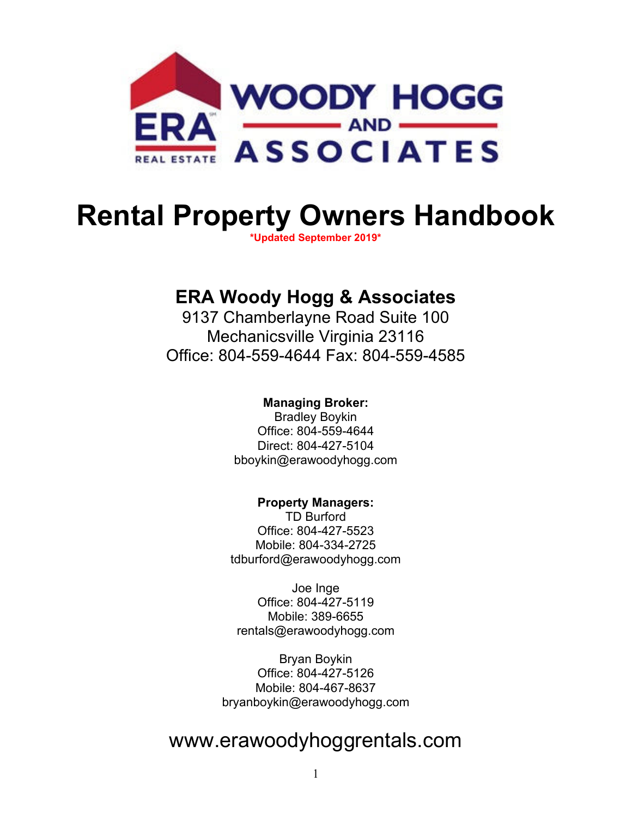

# **Rental Property Owners Handbook**

**\*Updated September 2019\*** 

### **ERA Woody Hogg & Associates**

9137 Chamberlayne Road Suite 100 Mechanicsville Virginia 23116 Office: 804-559-4644 Fax: 804-559-4585

#### **Managing Broker:**

Bradley Boykin Office: 804-559-4644 Direct: 804-427-5104 bboykin@erawoodyhogg.com

#### **Property Managers:**

TD Burford Office: 804-427-5523 Mobile: 804-334-2725 tdburford@erawoodyhogg.com

Joe Inge Office: 804-427-5119 Mobile: 389-6655 rentals@erawoodyhogg.com

Bryan Boykin Office: 804-427-5126 Mobile: 804-467-8637 bryanboykin@erawoodyhogg.com

## www.erawoodyhoggrentals.com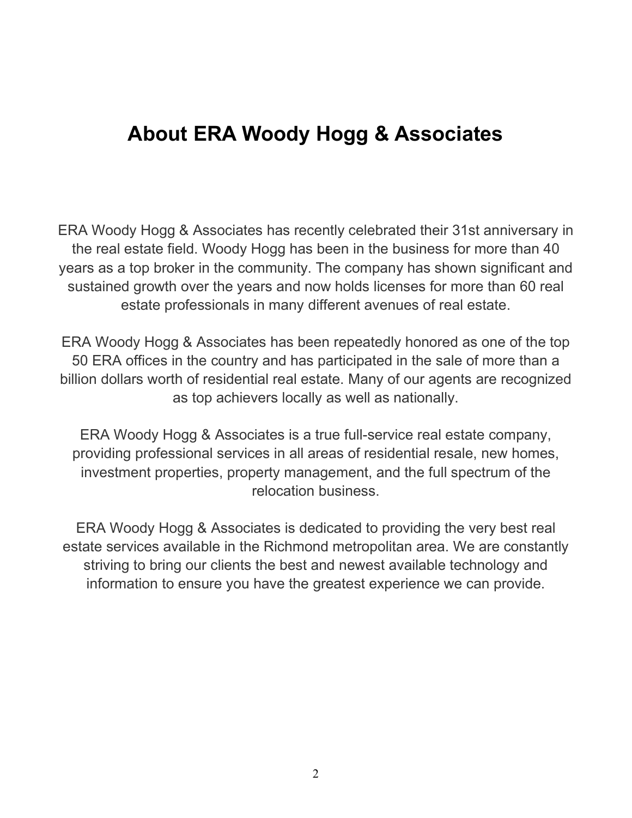## **About ERA Woody Hogg & Associates**

ERA Woody Hogg & Associates has recently celebrated their 31st anniversary in the real estate field. Woody Hogg has been in the business for more than 40 years as a top broker in the community. The company has shown significant and sustained growth over the years and now holds licenses for more than 60 real estate professionals in many different avenues of real estate.

ERA Woody Hogg & Associates has been repeatedly honored as one of the top 50 ERA offices in the country and has participated in the sale of more than a billion dollars worth of residential real estate. Many of our agents are recognized as top achievers locally as well as nationally.

ERA Woody Hogg & Associates is a true full-service real estate company, providing professional services in all areas of residential resale, new homes, investment properties, property management, and the full spectrum of the relocation business.

ERA Woody Hogg & Associates is dedicated to providing the very best real estate services available in the Richmond metropolitan area. We are constantly striving to bring our clients the best and newest available technology and information to ensure you have the greatest experience we can provide.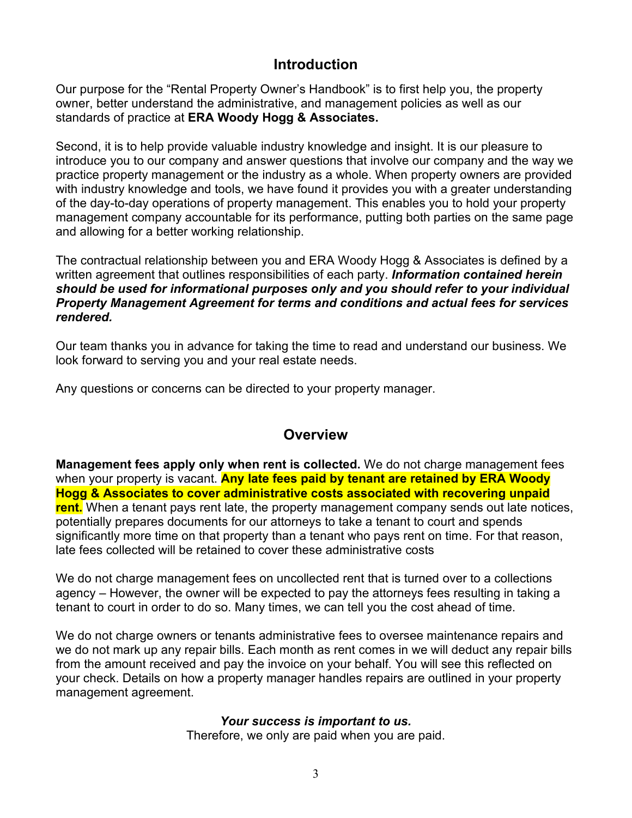#### **Introduction**

Our purpose for the "Rental Property Owner's Handbook" is to first help you, the property owner, better understand the administrative, and management policies as well as our standards of practice at **ERA Woody Hogg & Associates.**

Second, it is to help provide valuable industry knowledge and insight. It is our pleasure to introduce you to our company and answer questions that involve our company and the way we practice property management or the industry as a whole. When property owners are provided with industry knowledge and tools, we have found it provides you with a greater understanding of the day-to-day operations of property management. This enables you to hold your property management company accountable for its performance, putting both parties on the same page and allowing for a better working relationship.

The contractual relationship between you and ERA Woody Hogg & Associates is defined by a written agreement that outlines responsibilities of each party. *Information contained herein should be used for informational purposes only and you should refer to your individual Property Management Agreement for terms and conditions and actual fees for services rendered.*

Our team thanks you in advance for taking the time to read and understand our business. We look forward to serving you and your real estate needs.

Any questions or concerns can be directed to your property manager.

#### **Overview**

**Management fees apply only when rent is collected.** We do not charge management fees when your property is vacant. **Any late fees paid by tenant are retained by ERA Woody Hogg & Associates to cover administrative costs associated with recovering unpaid rent.** When a tenant pays rent late, the property management company sends out late notices, potentially prepares documents for our attorneys to take a tenant to court and spends significantly more time on that property than a tenant who pays rent on time. For that reason, late fees collected will be retained to cover these administrative costs

We do not charge management fees on uncollected rent that is turned over to a collections agency – However, the owner will be expected to pay the attorneys fees resulting in taking a tenant to court in order to do so. Many times, we can tell you the cost ahead of time.

We do not charge owners or tenants administrative fees to oversee maintenance repairs and we do not mark up any repair bills. Each month as rent comes in we will deduct any repair bills from the amount received and pay the invoice on your behalf. You will see this reflected on your check. Details on how a property manager handles repairs are outlined in your property management agreement.

#### *Your success is important to us.*

Therefore, we only are paid when you are paid.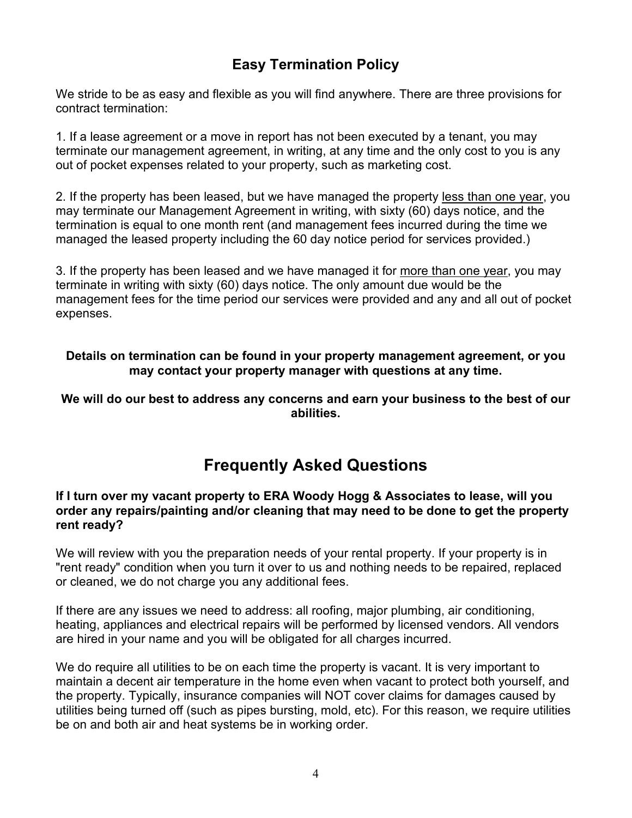### **Easy Termination Policy**

We stride to be as easy and flexible as you will find anywhere. There are three provisions for contract termination:

1. If a lease agreement or a move in report has not been executed by a tenant, you may terminate our management agreement, in writing, at any time and the only cost to you is any out of pocket expenses related to your property, such as marketing cost.

2. If the property has been leased, but we have managed the property less than one year, you may terminate our Management Agreement in writing, with sixty (60) days notice, and the termination is equal to one month rent (and management fees incurred during the time we managed the leased property including the 60 day notice period for services provided.)

3. If the property has been leased and we have managed it for more than one year, you may terminate in writing with sixty (60) days notice. The only amount due would be the management fees for the time period our services were provided and any and all out of pocket expenses.

#### **Details on termination can be found in your property management agreement, or you may contact your property manager with questions at any time.**

**We will do our best to address any concerns and earn your business to the best of our abilities.** 

### **Frequently Asked Questions**

#### **If I turn over my vacant property to ERA Woody Hogg & Associates to lease, will you order any repairs/painting and/or cleaning that may need to be done to get the property rent ready?**

We will review with you the preparation needs of your rental property. If your property is in "rent ready" condition when you turn it over to us and nothing needs to be repaired, replaced or cleaned, we do not charge you any additional fees.

If there are any issues we need to address: all roofing, major plumbing, air conditioning, heating, appliances and electrical repairs will be performed by licensed vendors. All vendors are hired in your name and you will be obligated for all charges incurred.

We do require all utilities to be on each time the property is vacant. It is very important to maintain a decent air temperature in the home even when vacant to protect both yourself, and the property. Typically, insurance companies will NOT cover claims for damages caused by utilities being turned off (such as pipes bursting, mold, etc). For this reason, we require utilities be on and both air and heat systems be in working order.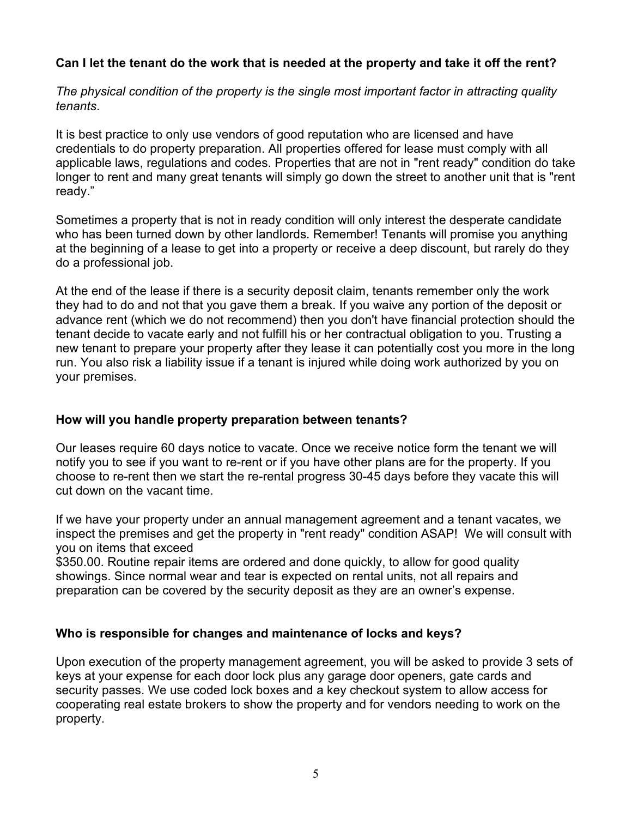#### **Can I let the tenant do the work that is needed at the property and take it off the rent?**

*The physical condition of the property is the single most important factor in attracting quality tenants*.

It is best practice to only use vendors of good reputation who are licensed and have credentials to do property preparation. All properties offered for lease must comply with all applicable laws, regulations and codes. Properties that are not in "rent ready" condition do take longer to rent and many great tenants will simply go down the street to another unit that is "rent ready."

Sometimes a property that is not in ready condition will only interest the desperate candidate who has been turned down by other landlords. Remember! Tenants will promise you anything at the beginning of a lease to get into a property or receive a deep discount, but rarely do they do a professional job.

At the end of the lease if there is a security deposit claim, tenants remember only the work they had to do and not that you gave them a break. If you waive any portion of the deposit or advance rent (which we do not recommend) then you don't have financial protection should the tenant decide to vacate early and not fulfill his or her contractual obligation to you. Trusting a new tenant to prepare your property after they lease it can potentially cost you more in the long run. You also risk a liability issue if a tenant is injured while doing work authorized by you on your premises.

#### **How will you handle property preparation between tenants?**

Our leases require 60 days notice to vacate. Once we receive notice form the tenant we will notify you to see if you want to re-rent or if you have other plans are for the property. If you choose to re-rent then we start the re-rental progress 30-45 days before they vacate this will cut down on the vacant time.

If we have your property under an annual management agreement and a tenant vacates, we inspect the premises and get the property in "rent ready" condition ASAP! We will consult with you on items that exceed

\$350.00. Routine repair items are ordered and done quickly, to allow for good quality showings. Since normal wear and tear is expected on rental units, not all repairs and preparation can be covered by the security deposit as they are an owner's expense.

#### **Who is responsible for changes and maintenance of locks and keys?**

Upon execution of the property management agreement, you will be asked to provide 3 sets of keys at your expense for each door lock plus any garage door openers, gate cards and security passes. We use coded lock boxes and a key checkout system to allow access for cooperating real estate brokers to show the property and for vendors needing to work on the property.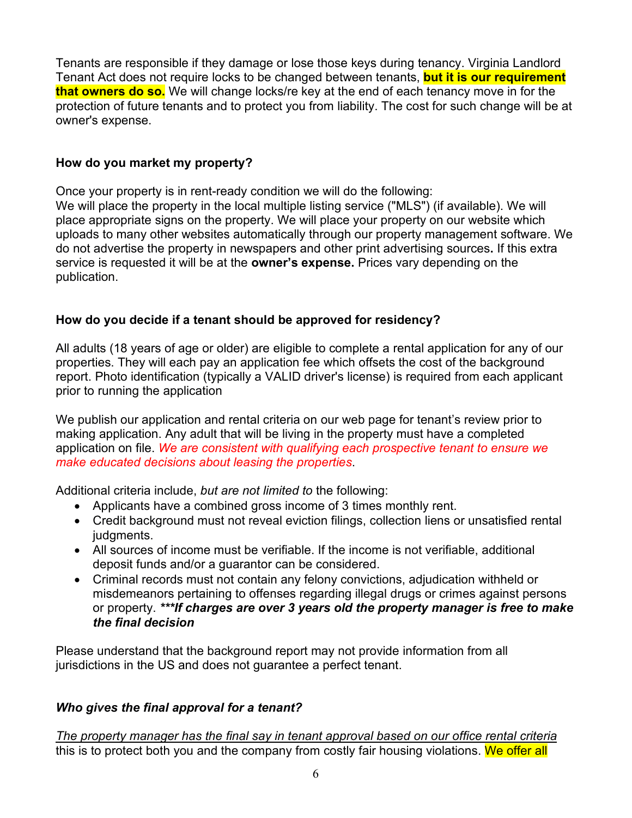Tenants are responsible if they damage or lose those keys during tenancy. Virginia Landlord Tenant Act does not require locks to be changed between tenants, **but it is our requirement that owners do so.** We will change locks/re key at the end of each tenancy move in for the protection of future tenants and to protect you from liability. The cost for such change will be at owner's expense.

#### **How do you market my property?**

Once your property is in rent-ready condition we will do the following:

We will place the property in the local multiple listing service ("MLS") (if available). We will place appropriate signs on the property. We will place your property on our website which uploads to many other websites automatically through our property management software. We do not advertise the property in newspapers and other print advertising sources**.** If this extra service is requested it will be at the **owner's expense.** Prices vary depending on the publication.

#### **How do you decide if a tenant should be approved for residency?**

All adults (18 years of age or older) are eligible to complete a rental application for any of our properties. They will each pay an application fee which offsets the cost of the background report. Photo identification (typically a VALID driver's license) is required from each applicant prior to running the application

We publish our application and rental criteria on our web page for tenant's review prior to making application. Any adult that will be living in the property must have a completed application on file. *We are consistent with qualifying each prospective tenant to ensure we make educated decisions about leasing the properties*.

Additional criteria include, *but are not limited to* the following:

- Applicants have a combined gross income of 3 times monthly rent.
- Credit background must not reveal eviction filings, collection liens or unsatisfied rental judgments.
- All sources of income must be verifiable. If the income is not verifiable, additional deposit funds and/or a guarantor can be considered.
- Criminal records must not contain any felony convictions, adjudication withheld or misdemeanors pertaining to offenses regarding illegal drugs or crimes against persons or property. *\*\*\*If charges are over 3 years old the property manager is free to make the final decision*

Please understand that the background report may not provide information from all jurisdictions in the US and does not guarantee a perfect tenant.

#### *Who gives the final approval for a tenant?*

*The property manager has the final say in tenant approval based on our office rental criteria*  this is to protect both you and the company from costly fair housing violations. We offer all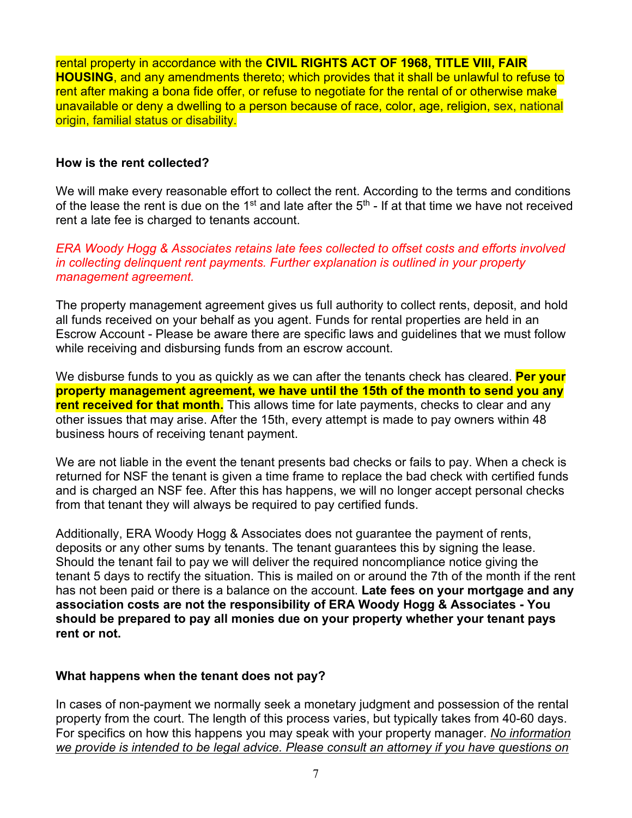rental property in accordance with the **CIVIL RIGHTS ACT OF 1968, TITLE VIll, FAIR HOUSING**, and any amendments thereto; which provides that it shall be unlawful to refuse to rent after making a bona fide offer, or refuse to negotiate for the rental of or otherwise make unavailable or deny a dwelling to a person because of race, color, age, religion, sex, national origin, familial status or disability.

#### **How is the rent collected?**

We will make every reasonable effort to collect the rent. According to the terms and conditions of the lease the rent is due on the 1<sup>st</sup> and late after the  $5<sup>th</sup>$  - If at that time we have not received rent a late fee is charged to tenants account.

*ERA Woody Hogg & Associates retains late fees collected to offset costs and efforts involved in collecting delinquent rent payments. Further explanation is outlined in your property management agreement.* 

The property management agreement gives us full authority to collect rents, deposit, and hold all funds received on your behalf as you agent. Funds for rental properties are held in an Escrow Account - Please be aware there are specific laws and guidelines that we must follow while receiving and disbursing funds from an escrow account.

We disburse funds to you as quickly as we can after the tenants check has cleared. **Per your property management agreement, we have until the 15th of the month to send you any rent received for that month.** This allows time for late payments, checks to clear and any other issues that may arise. After the 15th, every attempt is made to pay owners within 48 business hours of receiving tenant payment.

We are not liable in the event the tenant presents bad checks or fails to pay. When a check is returned for NSF the tenant is given a time frame to replace the bad check with certified funds and is charged an NSF fee. After this has happens, we will no longer accept personal checks from that tenant they will always be required to pay certified funds.

Additionally, ERA Woody Hogg & Associates does not guarantee the payment of rents, deposits or any other sums by tenants. The tenant guarantees this by signing the lease. Should the tenant fail to pay we will deliver the required noncompliance notice giving the tenant 5 days to rectify the situation. This is mailed on or around the 7th of the month if the rent has not been paid or there is a balance on the account. **Late fees on your mortgage and any association costs are not the responsibility of ERA Woody Hogg & Associates - You should be prepared to pay all monies due on your property whether your tenant pays rent or not.** 

#### **What happens when the tenant does not pay?**

In cases of non-payment we normally seek a monetary judgment and possession of the rental property from the court. The length of this process varies, but typically takes from 40-60 days. For specifics on how this happens you may speak with your property manager. *No information we provide is intended to be legal advice. Please consult an attorney if you have questions on*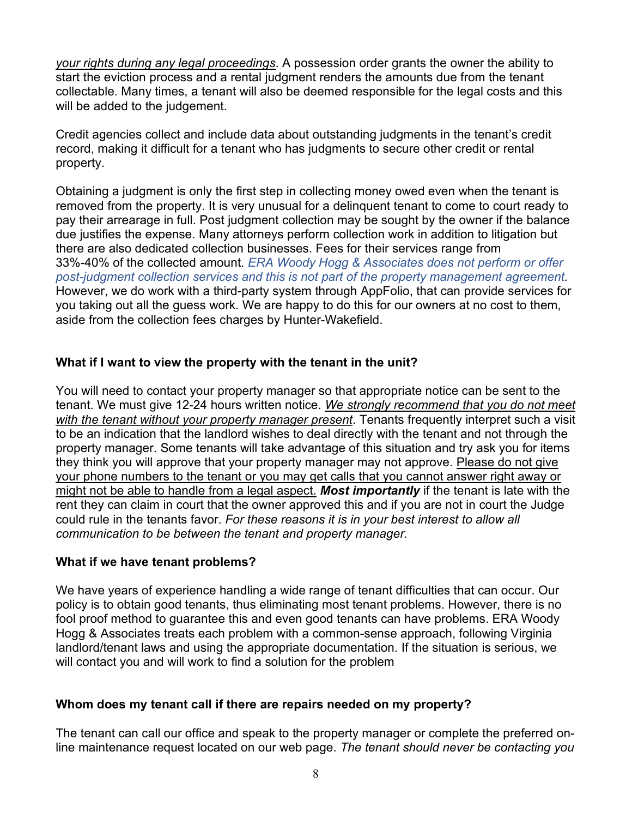*your rights during any legal proceedings*. A possession order grants the owner the ability to start the eviction process and a rental judgment renders the amounts due from the tenant collectable. Many times, a tenant will also be deemed responsible for the legal costs and this will be added to the judgement.

Credit agencies collect and include data about outstanding judgments in the tenant's credit record, making it difficult for a tenant who has judgments to secure other credit or rental property.

Obtaining a judgment is only the first step in collecting money owed even when the tenant is removed from the property. It is very unusual for a delinquent tenant to come to court ready to pay their arrearage in full. Post judgment collection may be sought by the owner if the balance due justifies the expense. Many attorneys perform collection work in addition to litigation but there are also dedicated collection businesses. Fees for their services range from 33%-40% of the collected amount. *ERA Woody Hogg & Associates does not perform or offer post-judgment collection services and this is not part of the property management agreement.* However, we do work with a third-party system through AppFolio, that can provide services for you taking out all the guess work. We are happy to do this for our owners at no cost to them, aside from the collection fees charges by Hunter-Wakefield.

#### **What if I want to view the property with the tenant in the unit?**

You will need to contact your property manager so that appropriate notice can be sent to the tenant. We must give 12-24 hours written notice. *We strongly recommend that you do not meet with the tenant without your property manager present*. Tenants frequently interpret such a visit to be an indication that the landlord wishes to deal directly with the tenant and not through the property manager. Some tenants will take advantage of this situation and try ask you for items they think you will approve that your property manager may not approve. Please do not give your phone numbers to the tenant or you may get calls that you cannot answer right away or might not be able to handle from a legal aspect. *Most importantly* if the tenant is late with the rent they can claim in court that the owner approved this and if you are not in court the Judge could rule in the tenants favor. *For these reasons it is in your best interest to allow all communication to be between the tenant and property manager.*

#### **What if we have tenant problems?**

We have years of experience handling a wide range of tenant difficulties that can occur. Our policy is to obtain good tenants, thus eliminating most tenant problems. However, there is no fool proof method to guarantee this and even good tenants can have problems. ERA Woody Hogg & Associates treats each problem with a common-sense approach, following Virginia landlord/tenant laws and using the appropriate documentation. If the situation is serious, we will contact you and will work to find a solution for the problem

#### **Whom does my tenant call if there are repairs needed on my property?**

The tenant can call our office and speak to the property manager or complete the preferred online maintenance request located on our web page. *The tenant should never be contacting you*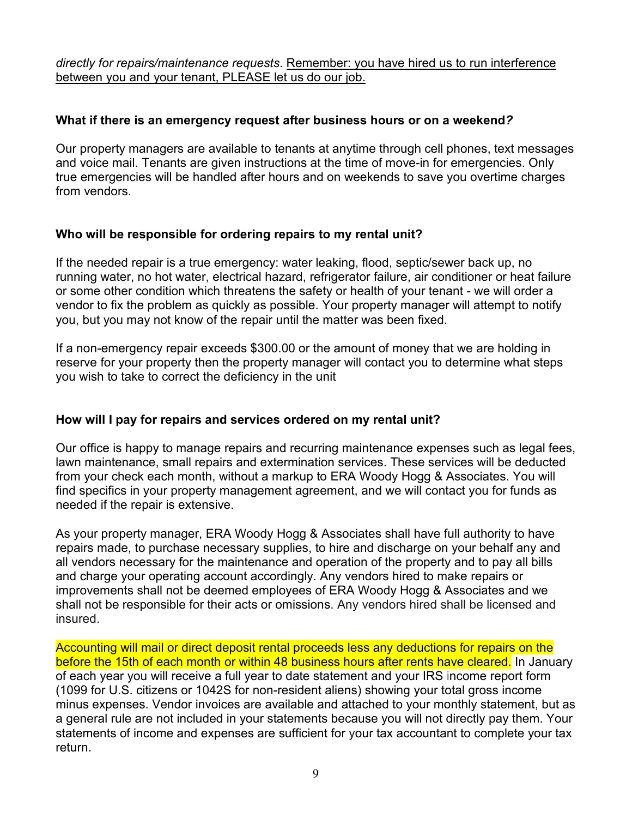*directly for repairs/maintenance requests*. Remember: you have hired us to run interference between you and your tenant, PLEASE let us do our job.

#### **What if there is an emergency request after business hours or on a weekend***?*

Our property managers are available to tenants at anytime through cell phones, text messages and voice mail. Tenants are given instructions at the time of move-in for emergencies. Only true emergencies will be handled after hours and on weekends to save you overtime charges from vendors.

#### **Who will be responsible for ordering repairs to my rental unit?**

If the needed repair is a true emergency: water leaking, flood, septic/sewer back up, no running water, no hot water, electrical hazard, refrigerator failure, air conditioner or heat failure or some other condition which threatens the safety or health of your tenant - we will order a vendor to fix the problem as quickly as possible. Your property manager will attempt to notify you, but you may not know of the repair until the matter was been fixed.

If a non-emergency repair exceeds \$300.00 or the amount of money that we are holding in reserve for your property then the property manager will contact you to determine what steps you wish to take to correct the deficiency in the unit

#### **How will I pay for repairs and services ordered on my rental unit?**

Our office is happy to manage repairs and recurring maintenance expenses such as legal fees, lawn maintenance, small repairs and extermination services. These services will be deducted from your check each month, without a markup to ERA Woody Hogg & Associates. You will find specifics in your property management agreement, and we will contact you for funds as needed if the repair is extensive.

As your property manager, ERA Woody Hogg & Associates shall have full authority to have repairs made, to purchase necessary supplies, to hire and discharge on your behalf any and all vendors necessary for the maintenance and operation of the property and to pay all bills and charge your operating account accordingly. Any vendors hired to make repairs or improvements shall not be deemed employees of ERA Woody Hogg & Associates and we shall not be responsible for their acts or omissions. Any vendors hired shall be licensed and insured.

Accounting will mail or direct deposit rental proceeds less any deductions for repairs on the before the 15th of each month or within 48 business hours after rents have cleared. In January of each year you will receive a full year to date statement and your IRS income report form (1099 for U.S. citizens or 1042S for non-resident aliens) showing your total gross income minus expenses. Vendor invoices are available and attached to your monthly statement, but as a general rule are not included in your statements because you will not directly pay them. Your statements of income and expenses are sufficient for your tax accountant to complete your tax return.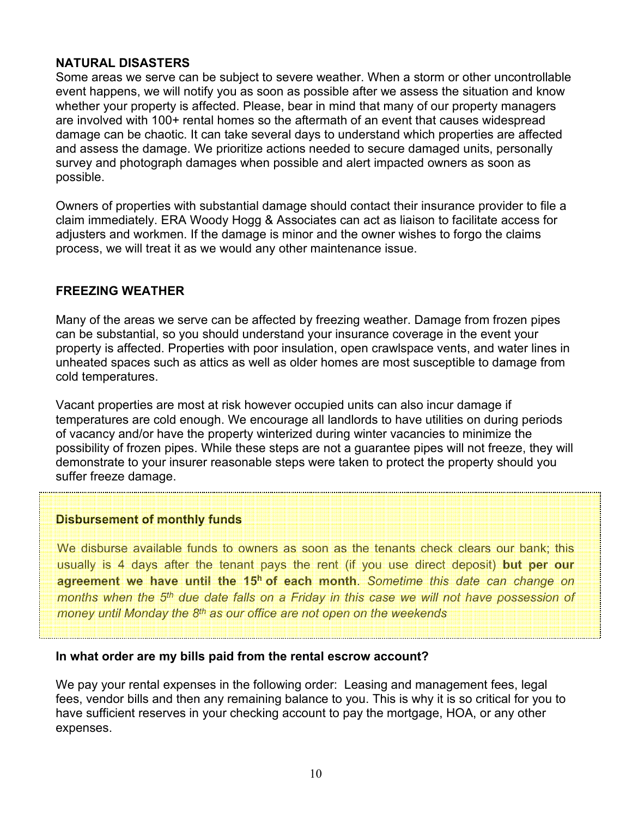#### **NATURAL DISASTERS**

Some areas we serve can be subject to severe weather. When a storm or other uncontrollable event happens, we will notify you as soon as possible after we assess the situation and know whether your property is affected. Please, bear in mind that many of our property managers are involved with 100+ rental homes so the aftermath of an event that causes widespread damage can be chaotic. It can take several days to understand which properties are affected and assess the damage. We prioritize actions needed to secure damaged units, personally survey and photograph damages when possible and alert impacted owners as soon as possible.

Owners of properties with substantial damage should contact their insurance provider to file a claim immediately. ERA Woody Hogg & Associates can act as liaison to facilitate access for adjusters and workmen. If the damage is minor and the owner wishes to forgo the claims process, we will treat it as we would any other maintenance issue.

#### **FREEZING WEATHER**

Many of the areas we serve can be affected by freezing weather. Damage from frozen pipes can be substantial, so you should understand your insurance coverage in the event your property is affected. Properties with poor insulation, open crawlspace vents, and water lines in unheated spaces such as attics as well as older homes are most susceptible to damage from cold temperatures.

Vacant properties are most at risk however occupied units can also incur damage if temperatures are cold enough. We encourage all landlords to have utilities on during periods of vacancy and/or have the property winterized during winter vacancies to minimize the possibility of frozen pipes. While these steps are not a guarantee pipes will not freeze, they will demonstrate to your insurer reasonable steps were taken to protect the property should you suffer freeze damage.

#### **Disbursement of monthly funds**

We disburse available funds to owners as soon as the tenants check clears our bank; this usually is 4 days after the tenant pays the rent (if you use direct deposit) **but per our**  agreement we have until the 15<sup>h</sup> of each month. Sometime this date can change on *months when the 5th due date falls on a Friday in this case we will not have possession of money until Monday the 8th as our office are not open on the weekends*

#### **In what order are my bills paid from the rental escrow account?**

We pay your rental expenses in the following order: Leasing and management fees, legal fees, vendor bills and then any remaining balance to you. This is why it is so critical for you to have sufficient reserves in your checking account to pay the mortgage, HOA, or any other expenses.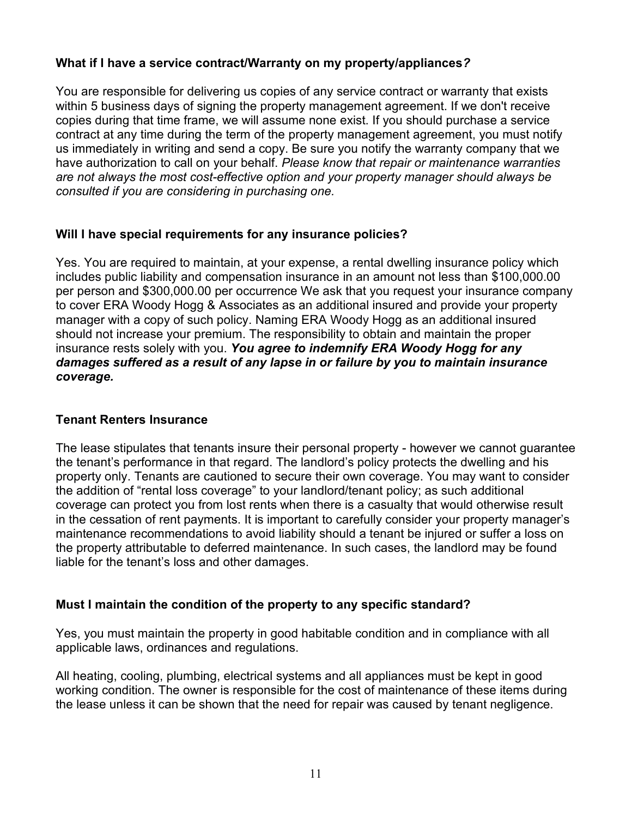#### **What if I have a service contract/Warranty on my property/appliances***?*

You are responsible for delivering us copies of any service contract or warranty that exists within 5 business days of signing the property management agreement. If we don't receive copies during that time frame, we will assume none exist. If you should purchase a service contract at any time during the term of the property management agreement, you must notify us immediately in writing and send a copy. Be sure you notify the warranty company that we have authorization to call on your behalf. *Please know that repair or maintenance warranties are not always the most cost-effective option and your property manager should always be consulted if you are considering in purchasing one.*

#### **Will I have special requirements for any insurance policies?**

Yes. You are required to maintain, at your expense, a rental dwelling insurance policy which includes public liability and compensation insurance in an amount not less than \$100,000.00 per person and \$300,000.00 per occurrence We ask that you request your insurance company to cover ERA Woody Hogg & Associates as an additional insured and provide your property manager with a copy of such policy. Naming ERA Woody Hogg as an additional insured should not increase your premium. The responsibility to obtain and maintain the proper insurance rests solely with you. *You agree to indemnify ERA Woody Hogg for any damages suffered as a result of any lapse in or failure by you to maintain insurance coverage.*

#### **Tenant Renters Insurance**

The lease stipulates that tenants insure their personal property - however we cannot guarantee the tenant's performance in that regard. The landlord's policy protects the dwelling and his property only. Tenants are cautioned to secure their own coverage. You may want to consider the addition of "rental loss coverage" to your landlord/tenant policy; as such additional coverage can protect you from lost rents when there is a casualty that would otherwise result in the cessation of rent payments. It is important to carefully consider your property manager's maintenance recommendations to avoid liability should a tenant be injured or suffer a loss on the property attributable to deferred maintenance. In such cases, the landlord may be found liable for the tenant's loss and other damages.

#### **Must I maintain the condition of the property to any specific standard?**

Yes, you must maintain the property in good habitable condition and in compliance with all applicable laws, ordinances and regulations.

All heating, cooling, plumbing, electrical systems and all appliances must be kept in good working condition. The owner is responsible for the cost of maintenance of these items during the lease unless it can be shown that the need for repair was caused by tenant negligence.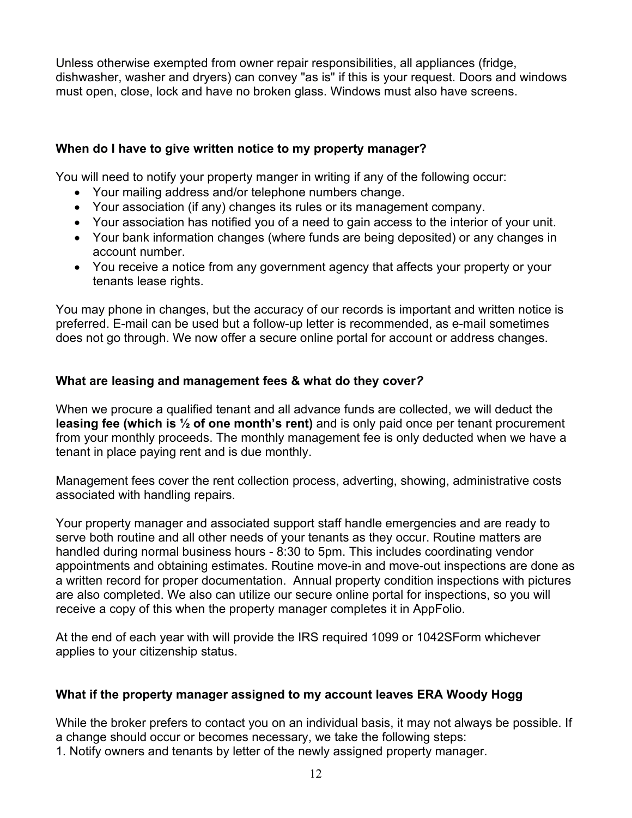Unless otherwise exempted from owner repair responsibilities, all appliances (fridge, dishwasher, washer and dryers) can convey "as is" if this is your request. Doors and windows must open, close, lock and have no broken glass. Windows must also have screens.

#### **When do I have to give written notice to my property manager?**

You will need to notify your property manger in writing if any of the following occur:

- Your mailing address and/or telephone numbers change.
- Your association (if any) changes its rules or its management company.
- Your association has notified you of a need to gain access to the interior of your unit.
- Your bank information changes (where funds are being deposited) or any changes in account number.
- You receive a notice from any government agency that affects your property or your tenants lease rights.

You may phone in changes, but the accuracy of our records is important and written notice is preferred. E-mail can be used but a follow-up letter is recommended, as e-mail sometimes does not go through. We now offer a secure online portal for account or address changes.

#### **What are leasing and management fees & what do they cover***?*

When we procure a qualified tenant and all advance funds are collected, we will deduct the **leasing fee (which is ½ of one month's rent)** and is only paid once per tenant procurement from your monthly proceeds. The monthly management fee is only deducted when we have a tenant in place paying rent and is due monthly.

Management fees cover the rent collection process, adverting, showing, administrative costs associated with handling repairs.

Your property manager and associated support staff handle emergencies and are ready to serve both routine and all other needs of your tenants as they occur. Routine matters are handled during normal business hours - 8:30 to 5pm. This includes coordinating vendor appointments and obtaining estimates. Routine move-in and move-out inspections are done as a written record for proper documentation. Annual property condition inspections with pictures are also completed. We also can utilize our secure online portal for inspections, so you will receive a copy of this when the property manager completes it in AppFolio.

At the end of each year with will provide the IRS required 1099 or 1042SForm whichever applies to your citizenship status.

#### **What if the property manager assigned to my account leaves ERA Woody Hogg**

While the broker prefers to contact you on an individual basis, it may not always be possible. If a change should occur or becomes necessary, we take the following steps:

1. Notify owners and tenants by letter of the newly assigned property manager.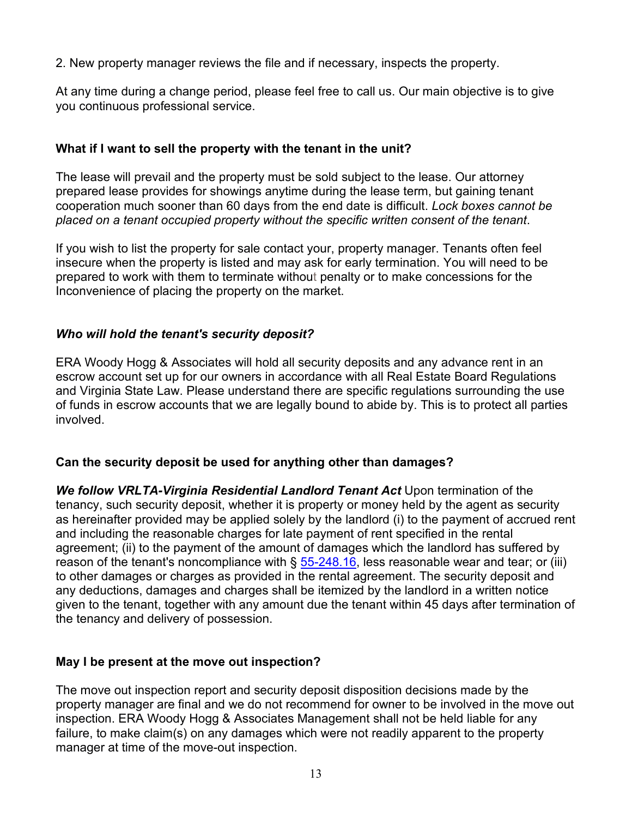2. New property manager reviews the file and if necessary, inspects the property.

At any time during a change period, please feel free to call us. Our main objective is to give you continuous professional service.

#### **What if I want to sell the property with the tenant in the unit?**

The lease will prevail and the property must be sold subject to the lease. Our attorney prepared lease provides for showings anytime during the lease term, but gaining tenant cooperation much sooner than 60 days from the end date is difficult. *Lock boxes cannot be placed on a tenant occupied property without the specific written consent of the tenant*.

If you wish to list the property for sale contact your, property manager. Tenants often feel insecure when the property is listed and may ask for early termination. You will need to be prepared to work with them to terminate without penalty or to make concessions for the Inconvenience of placing the property on the market.

#### *Who will hold the tenant's security deposit?*

ERA Woody Hogg & Associates will hold all security deposits and any advance rent in an escrow account set up for our owners in accordance with all Real Estate Board Regulations and Virginia State Law. Please understand there are specific regulations surrounding the use of funds in escrow accounts that we are legally bound to abide by. This is to protect all parties involved.

#### **Can the security deposit be used for anything other than damages?**

**We follow VRLTA-Virginia Residential Landlord Tenant Act Upon termination of the** tenancy, such security deposit, whether it is property or money held by the agent as security as hereinafter provided may be applied solely by the landlord (i) to the payment of accrued rent and including the reasonable charges for late payment of rent specified in the rental agreement; (ii) to the payment of the amount of damages which the landlord has suffered by reason of the tenant's noncompliance with  $\S$  55-248.16, less reasonable wear and tear; or (iii) to other damages or charges as provided in the rental agreement. The security deposit and any deductions, damages and charges shall be itemized by the landlord in a written notice given to the tenant, together with any amount due the tenant within 45 days after termination of the tenancy and delivery of possession.

#### **May I be present at the move out inspection?**

The move out inspection report and security deposit disposition decisions made by the property manager are final and we do not recommend for owner to be involved in the move out inspection. ERA Woody Hogg & Associates Management shall not be held liable for any failure, to make claim(s) on any damages which were not readily apparent to the property manager at time of the move-out inspection.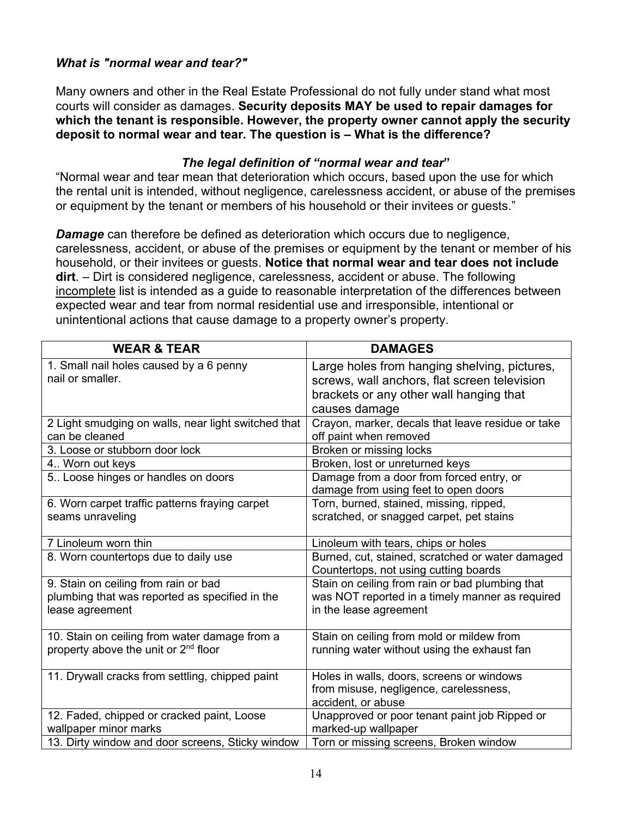#### *What is "normal wear and tear?"*

Many owners and other in the Real Estate Professional do not fully under stand what most courts will consider as damages. **Security deposits MAY be used to repair damages for which the tenant is responsible. However, the property owner cannot apply the security deposit to normal wear and tear. The question is – What is the difference?** 

#### *The legal definition of "normal wear and tear***"**

"Normal wear and tear mean that deterioration which occurs, based upon the use for which the rental unit is intended, without negligence, carelessness accident, or abuse of the premises or equipment by the tenant or members of his household or their invitees or guests."

*Damage* can therefore be defined as deterioration which occurs due to negligence, carelessness, accident, or abuse of the premises or equipment by the tenant or member of his household, or their invitees or guests. **Notice that normal wear and tear does not include dirt**. – Dirt is considered negligence, carelessness, accident or abuse. The following incomplete list is intended as a guide to reasonable interpretation of the differences between expected wear and tear from normal residential use and irresponsible, intentional or unintentional actions that cause damage to a property owner's property.

| <b>WEAR &amp; TEAR</b>                                                                            | <b>DAMAGES</b>                                    |
|---------------------------------------------------------------------------------------------------|---------------------------------------------------|
| 1. Small nail holes caused by a 6 penny                                                           | Large holes from hanging shelving, pictures,      |
| nail or smaller.                                                                                  | screws, wall anchors, flat screen television      |
|                                                                                                   | brackets or any other wall hanging that           |
|                                                                                                   | causes damage                                     |
| 2 Light smudging on walls, near light switched that                                               | Crayon, marker, decals that leave residue or take |
| can be cleaned                                                                                    | off paint when removed                            |
| 3. Loose or stubborn door lock                                                                    | Broken or missing locks                           |
| 4 Worn out keys                                                                                   | Broken, lost or unreturned keys                   |
| 5 Loose hinges or handles on doors                                                                | Damage from a door from forced entry, or          |
|                                                                                                   | damage from using feet to open doors              |
| 6. Worn carpet traffic patterns fraying carpet                                                    | Torn, burned, stained, missing, ripped,           |
| seams unraveling                                                                                  | scratched, or snagged carpet, pet stains          |
|                                                                                                   |                                                   |
| 7 Linoleum worn thin                                                                              | Linoleum with tears, chips or holes               |
| 8. Worn countertops due to daily use                                                              | Burned, cut, stained, scratched or water damaged  |
|                                                                                                   | Countertops, not using cutting boards             |
| 9. Stain on ceiling from rain or bad                                                              | Stain on ceiling from rain or bad plumbing that   |
| plumbing that was reported as specified in the                                                    | was NOT reported in a timely manner as required   |
| lease agreement                                                                                   | in the lease agreement                            |
|                                                                                                   |                                                   |
| 10. Stain on ceiling from water damage from a<br>property above the unit or 2 <sup>nd</sup> floor | Stain on ceiling from mold or mildew from         |
|                                                                                                   | running water without using the exhaust fan       |
| 11. Drywall cracks from settling, chipped paint                                                   | Holes in walls, doors, screens or windows         |
|                                                                                                   | from misuse, negligence, carelessness,            |
|                                                                                                   | accident, or abuse                                |
| 12. Faded, chipped or cracked paint, Loose                                                        | Unapproved or poor tenant paint job Ripped or     |
| wallpaper minor marks                                                                             | marked-up wallpaper                               |
| 13. Dirty window and door screens, Sticky window                                                  | Torn or missing screens, Broken window            |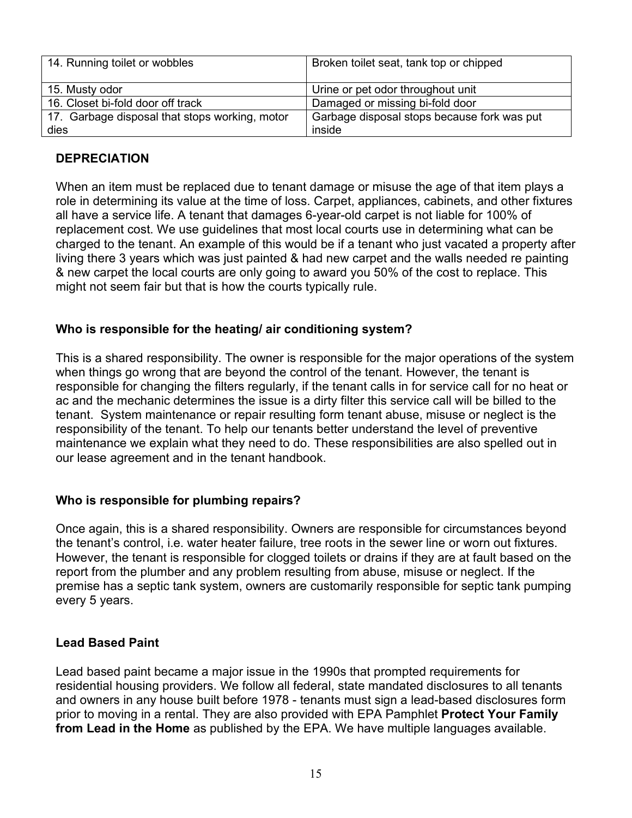| 14. Running toilet or wobbles                  | Broken toilet seat, tank top or chipped     |
|------------------------------------------------|---------------------------------------------|
| 15. Musty odor                                 | Urine or pet odor throughout unit           |
| 16. Closet bi-fold door off track              | Damaged or missing bi-fold door             |
| 17. Garbage disposal that stops working, motor | Garbage disposal stops because fork was put |
| dies                                           | inside                                      |

#### **DEPRECIATION**

When an item must be replaced due to tenant damage or misuse the age of that item plays a role in determining its value at the time of loss. Carpet, appliances, cabinets, and other fixtures all have a service life. A tenant that damages 6-year-old carpet is not liable for 100% of replacement cost. We use guidelines that most local courts use in determining what can be charged to the tenant. An example of this would be if a tenant who just vacated a property after living there 3 years which was just painted & had new carpet and the walls needed re painting & new carpet the local courts are only going to award you 50% of the cost to replace. This might not seem fair but that is how the courts typically rule.

#### **Who is responsible for the heating/ air conditioning system?**

This is a shared responsibility. The owner is responsible for the major operations of the system when things go wrong that are beyond the control of the tenant. However, the tenant is responsible for changing the filters regularly, if the tenant calls in for service call for no heat or ac and the mechanic determines the issue is a dirty filter this service call will be billed to the tenant. System maintenance or repair resulting form tenant abuse, misuse or neglect is the responsibility of the tenant. To help our tenants better understand the level of preventive maintenance we explain what they need to do. These responsibilities are also spelled out in our lease agreement and in the tenant handbook.

#### **Who is responsible for plumbing repairs?**

Once again, this is a shared responsibility. Owners are responsible for circumstances beyond the tenant's control, i.e. water heater failure, tree roots in the sewer line or worn out fixtures. However, the tenant is responsible for clogged toilets or drains if they are at fault based on the report from the plumber and any problem resulting from abuse, misuse or neglect. If the premise has a septic tank system, owners are customarily responsible for septic tank pumping every 5 years.

#### **Lead Based Paint**

Lead based paint became a major issue in the 1990s that prompted requirements for residential housing providers. We follow all federal, state mandated disclosures to all tenants and owners in any house built before 1978 - tenants must sign a lead-based disclosures form prior to moving in a rental. They are also provided with EPA Pamphlet **Protect Your Family from Lead in the Home** as published by the EPA. We have multiple languages available.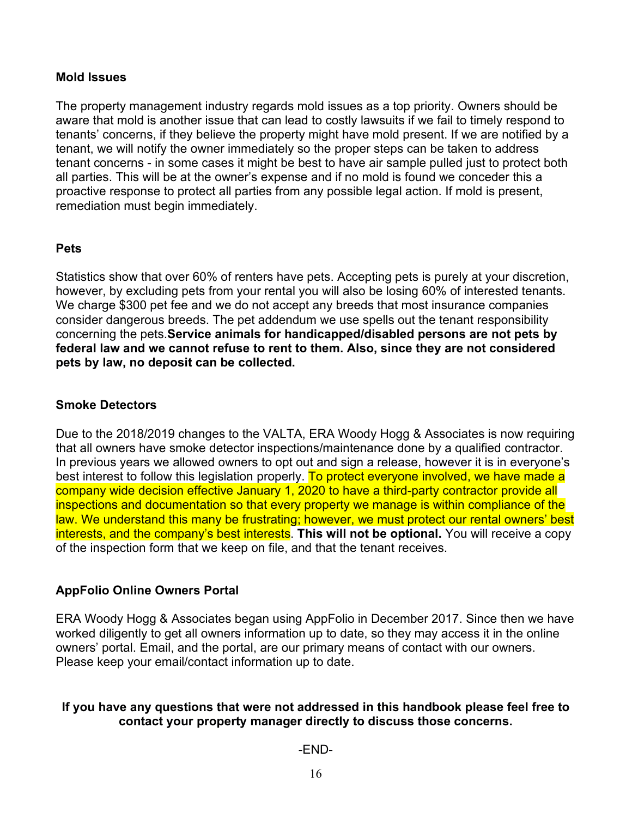#### **Mold Issues**

The property management industry regards mold issues as a top priority. Owners should be aware that mold is another issue that can lead to costly lawsuits if we fail to timely respond to tenants' concerns, if they believe the property might have mold present. If we are notified by a tenant, we will notify the owner immediately so the proper steps can be taken to address tenant concerns - in some cases it might be best to have air sample pulled just to protect both all parties. This will be at the owner's expense and if no mold is found we conceder this a proactive response to protect all parties from any possible legal action. If mold is present, remediation must begin immediately.

#### **Pets**

Statistics show that over 60% of renters have pets. Accepting pets is purely at your discretion, however, by excluding pets from your rental you will also be losing 60% of interested tenants. We charge \$300 pet fee and we do not accept any breeds that most insurance companies consider dangerous breeds. The pet addendum we use spells out the tenant responsibility concerning the pets.**Service animals for handicapped/disabled persons are not pets by federal law and we cannot refuse to rent to them. Also, since they are not considered pets by law, no deposit can be collected.**

#### **Smoke Detectors**

Due to the 2018/2019 changes to the VALTA, ERA Woody Hogg & Associates is now requiring that all owners have smoke detector inspections/maintenance done by a qualified contractor. In previous years we allowed owners to opt out and sign a release, however it is in everyone's best interest to follow this legislation properly. To protect everyone involved, we have made a company wide decision effective January 1, 2020 to have a third-party contractor provide all inspections and documentation so that every property we manage is within compliance of the law. We understand this many be frustrating; however, we must protect our rental owners' best interests, and the company's best interests. **This will not be optional.** You will receive a copy of the inspection form that we keep on file, and that the tenant receives.

#### **AppFolio Online Owners Portal**

ERA Woody Hogg & Associates began using AppFolio in December 2017. Since then we have worked diligently to get all owners information up to date, so they may access it in the online owners' portal. Email, and the portal, are our primary means of contact with our owners. Please keep your email/contact information up to date.

#### **If you have any questions that were not addressed in this handbook please feel free to contact your property manager directly to discuss those concerns.**

#### -END-